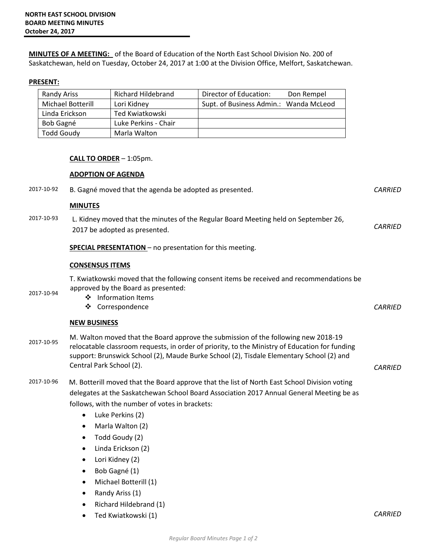**MINUTES OF A MEETING:** of the Board of Education of the North East School Division No. 200 of Saskatchewan, held on Tuesday, October 24, 2017 at 1:00 at the Division Office, Melfort, Saskatchewan.

## **PRESENT:**

| Randy Ariss       | Richard Hildebrand   | Director of Education:                 | Don Rempel |
|-------------------|----------------------|----------------------------------------|------------|
| Michael Botterill | Lori Kidney          | Supt. of Business Admin.: Wanda McLeod |            |
| Linda Erickson    | Ted Kwiatkowski      |                                        |            |
| Bob Gagné         | Luke Perkins - Chair |                                        |            |
| <b>Todd Goudy</b> | Marla Walton         |                                        |            |

## **CALL TO ORDER** – 1:05pm.

## **ADOPTION OF AGENDA**

| 2017-10-92 | B. Gagné moved that the agenda be adopted as presented.                                                                                                                                                                                                                                                                                                                                                                                                                                                              | <b>CARRIED</b> |
|------------|----------------------------------------------------------------------------------------------------------------------------------------------------------------------------------------------------------------------------------------------------------------------------------------------------------------------------------------------------------------------------------------------------------------------------------------------------------------------------------------------------------------------|----------------|
|            | <b>MINUTES</b>                                                                                                                                                                                                                                                                                                                                                                                                                                                                                                       |                |
| 2017-10-93 | L. Kidney moved that the minutes of the Regular Board Meeting held on September 26,<br>2017 be adopted as presented.                                                                                                                                                                                                                                                                                                                                                                                                 | <b>CARRIED</b> |
|            | <b>SPECIAL PRESENTATION</b> – no presentation for this meeting.                                                                                                                                                                                                                                                                                                                                                                                                                                                      |                |
|            | <b>CONSENSUS ITEMS</b>                                                                                                                                                                                                                                                                                                                                                                                                                                                                                               |                |
| 2017-10-94 | T. Kwiatkowski moved that the following consent items be received and recommendations be<br>approved by the Board as presented:<br>❖ Information Items<br>Correspondence<br>❖                                                                                                                                                                                                                                                                                                                                        | <b>CARRIED</b> |
|            | <b>NEW BUSINESS</b>                                                                                                                                                                                                                                                                                                                                                                                                                                                                                                  |                |
| 2017-10-95 | M. Walton moved that the Board approve the submission of the following new 2018-19<br>relocatable classroom requests, in order of priority, to the Ministry of Education for funding<br>support: Brunswick School (2), Maude Burke School (2), Tisdale Elementary School (2) and<br>Central Park School (2).                                                                                                                                                                                                         | <b>CARRIED</b> |
| 2017-10-96 | M. Botterill moved that the Board approve that the list of North East School Division voting<br>delegates at the Saskatchewan School Board Association 2017 Annual General Meeting be as<br>follows, with the number of votes in brackets:<br>Luke Perkins (2)<br>$\bullet$<br>Marla Walton (2)<br>٠<br>Todd Goudy (2)<br>$\bullet$<br>Linda Erickson (2)<br>٠<br>Lori Kidney (2)<br>$\bullet$<br>Bob Gagné (1)<br>$\bullet$<br>Michael Botterill (1)<br>٠<br>Randy Ariss (1)<br>Richard Hildebrand (1)<br>$\bullet$ |                |

• Ted Kwiatkowski (1) *CARRIED*